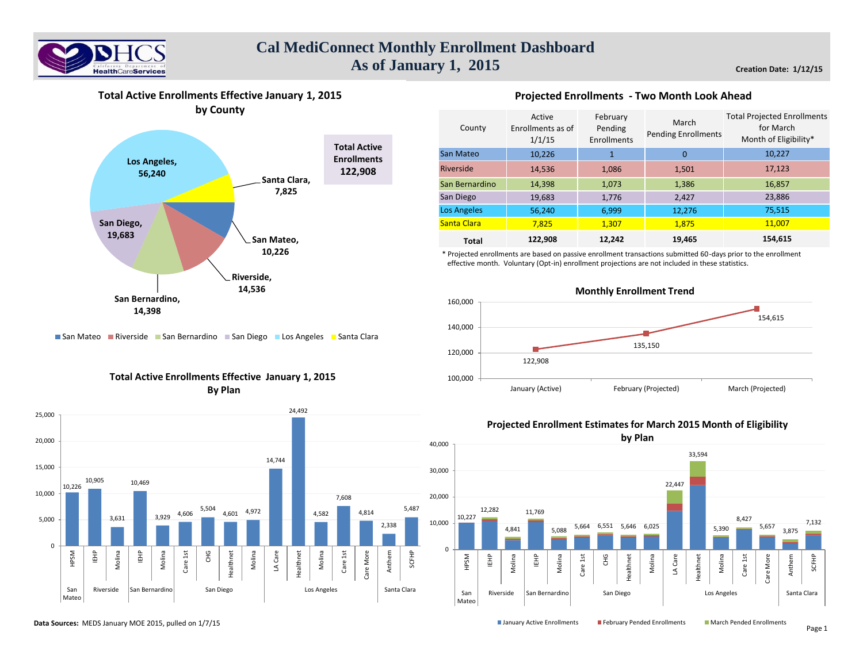



**Total Active Enrollments Effective January 1, 2015**

## **Projected Enrollments - Two Month Look Ahead**

| County             | Active<br>Enrollments as of<br>1/1/15 | February<br>Pending<br>Enrollments | March<br><b>Pending Enrollments</b> | <b>Total Projected Enrollments</b><br>for March<br>Month of Eligibility* |
|--------------------|---------------------------------------|------------------------------------|-------------------------------------|--------------------------------------------------------------------------|
| San Mateo          | 10,226                                |                                    | $\mathbf 0$                         | 10,227                                                                   |
| Riverside          | 14,536                                | 1,086                              | 1,501                               | 17,123                                                                   |
| San Bernardino     | 14,398                                | 1,073                              | 1,386                               | 16,857                                                                   |
| San Diego          | 19,683                                | 1,776                              | 2,427                               | 23,886                                                                   |
| <b>Los Angeles</b> | 56,240                                | 6,999                              | 12,276                              | 75,515                                                                   |
| Santa Clara        | 7,825                                 | 1,307                              | 1,875                               | 11,007                                                                   |
| <b>Total</b>       | 122,908                               | 12,242                             | 19,465                              | 154,615                                                                  |

\* Projected enrollments are based on passive enrollment transactions submitted 60-days prior to the enrollment effective month. Voluntary (Opt-in) enrollment projections are not included in these statistics.



# San Mateo Riverside San Bernardino San Diego Los Angeles Santa Clara

# **Total Active Enrollments Effective January 1, 2015 By Plan**



## **Projected Enrollment Estimates for March 2015 Month of Eligibility**